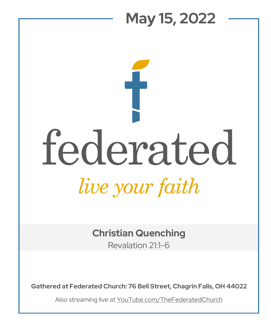# **May 15, 2022**

# federated *live your faith*

## **Christian Quenching**

Revalation 21:1-6

**Gathered at Federated Church: 76 Bell Street, Chagrin Falls, OH 44022**

Also streaming live at YouTube.com/TheFederatedChurch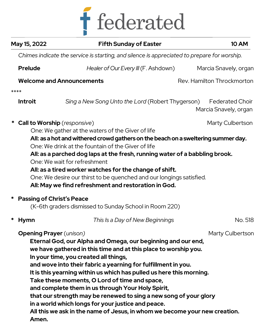

| May 15, 2022     | <b>Fifth Sunday of Easter</b>                                                                                                                                                                                                                                                                                                                                                                                                                                                                                                                                                                                                                                      | <b>10 AM</b>                                    |
|------------------|--------------------------------------------------------------------------------------------------------------------------------------------------------------------------------------------------------------------------------------------------------------------------------------------------------------------------------------------------------------------------------------------------------------------------------------------------------------------------------------------------------------------------------------------------------------------------------------------------------------------------------------------------------------------|-------------------------------------------------|
|                  | Chimes indicate the service is starting, and silence is appreciated to prepare for worship.                                                                                                                                                                                                                                                                                                                                                                                                                                                                                                                                                                        |                                                 |
| <b>Prelude</b>   | Healer of Our Every III (F. Ashdown)                                                                                                                                                                                                                                                                                                                                                                                                                                                                                                                                                                                                                               | Marcia Snavely, organ                           |
|                  | <b>Welcome and Announcements</b>                                                                                                                                                                                                                                                                                                                                                                                                                                                                                                                                                                                                                                   | Rev. Hamilton Throckmorton                      |
| ****             |                                                                                                                                                                                                                                                                                                                                                                                                                                                                                                                                                                                                                                                                    |                                                 |
| <b>Introit</b>   | Sing a New Song Unto the Lord (Robert Thygerson)                                                                                                                                                                                                                                                                                                                                                                                                                                                                                                                                                                                                                   | <b>Federated Choir</b><br>Marcia Snavely, organ |
|                  | <b>Call to Worship</b> (responsive)<br>One: We gather at the waters of the Giver of life<br>All: as a hot and withered crowd gathers on the beach on a sweltering summer day.<br>One: We drink at the fountain of the Giver of life                                                                                                                                                                                                                                                                                                                                                                                                                                | Marty Culbertson                                |
|                  | All: as a tired worker watches for the change of shift.<br>One: We desire our thirst to be quenched and our longings satisfied.<br>All: May we find refreshment and restoration in God.<br><b>Passing of Christ's Peace</b>                                                                                                                                                                                                                                                                                                                                                                                                                                        |                                                 |
|                  | (K-6th graders dismissed to Sunday School in Room 220)                                                                                                                                                                                                                                                                                                                                                                                                                                                                                                                                                                                                             |                                                 |
| *<br><b>Hymn</b> | This Is a Day of New Beginnings                                                                                                                                                                                                                                                                                                                                                                                                                                                                                                                                                                                                                                    | No. 518                                         |
| Amen.            | <b>Opening Prayer</b> (unison)<br>Eternal God, our Alpha and Omega, our beginning and our end,<br>we have gathered in this time and at this place to worship you.<br>In your time, you created all things,<br>and wove into their fabric a yearning for fulfillment in you.<br>It is this yearning within us which has pulled us here this morning.<br>Take these moments, O Lord of time and space,<br>and complete them in us through Your Holy Spirit,<br>that our strength may be renewed to sing a new song of your glory<br>in a world which longs for your justice and peace.<br>All this we ask in the name of Jesus, in whom we become your new creation. | Marty Culbertson                                |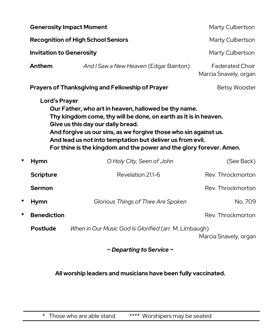|                                                                                                                                                                                                                                                                                                                                                                                               |                    | <b>Generosity Impact Moment</b>                         | Marty Culbertson                                |  |
|-----------------------------------------------------------------------------------------------------------------------------------------------------------------------------------------------------------------------------------------------------------------------------------------------------------------------------------------------------------------------------------------------|--------------------|---------------------------------------------------------|-------------------------------------------------|--|
|                                                                                                                                                                                                                                                                                                                                                                                               |                    | <b>Recognition of High School Seniors</b>               | Marty Culbertson                                |  |
| <b>Invitation to Generosity</b>                                                                                                                                                                                                                                                                                                                                                               |                    | Marty Culbertson                                        |                                                 |  |
|                                                                                                                                                                                                                                                                                                                                                                                               | Anthem             | And I Saw a New Heaven (Edgar Bainton)                  | <b>Federated Choir</b><br>Marcia Snavely, organ |  |
|                                                                                                                                                                                                                                                                                                                                                                                               |                    | <b>Prayers of Thanksgiving and Fellowship of Prayer</b> | <b>Betsy Wooster</b>                            |  |
| <b>Lord's Prayer</b><br>Our Father, who art in heaven, hallowed be thy name.<br>Thy kingdom come, thy will be done, on earth as it is in heaven.<br>Give us this day our daily bread.<br>And forgive us our sins, as we forgive those who sin against us.<br>And lead us not into temptation but deliver us from evil.<br>For thine is the kingdom and the power and the glory forever. Amen. |                    |                                                         |                                                 |  |
|                                                                                                                                                                                                                                                                                                                                                                                               |                    |                                                         |                                                 |  |
| *                                                                                                                                                                                                                                                                                                                                                                                             | <b>Hymn</b>        | O Holy City, Seen of John                               | (See Back)                                      |  |
|                                                                                                                                                                                                                                                                                                                                                                                               | <b>Scripture</b>   | Revelation 21:1-6                                       | Rev. Throckmorton                               |  |
|                                                                                                                                                                                                                                                                                                                                                                                               | <b>Sermon</b>      |                                                         | Rev. Throckmorton                               |  |
| *                                                                                                                                                                                                                                                                                                                                                                                             | <b>Hymn</b>        | Glorious Things of Thee Are Spoken                      | No. 709                                         |  |
| *                                                                                                                                                                                                                                                                                                                                                                                             | <b>Benediction</b> |                                                         | Rev. Throckmorton                               |  |
|                                                                                                                                                                                                                                                                                                                                                                                               | Postlude           | When in Our Music God Is Glorified (arr. M. Limbaugh)   | Marcia Snavely, organ                           |  |

#### **All worship leaders and musicians have been fully vaccinated.**